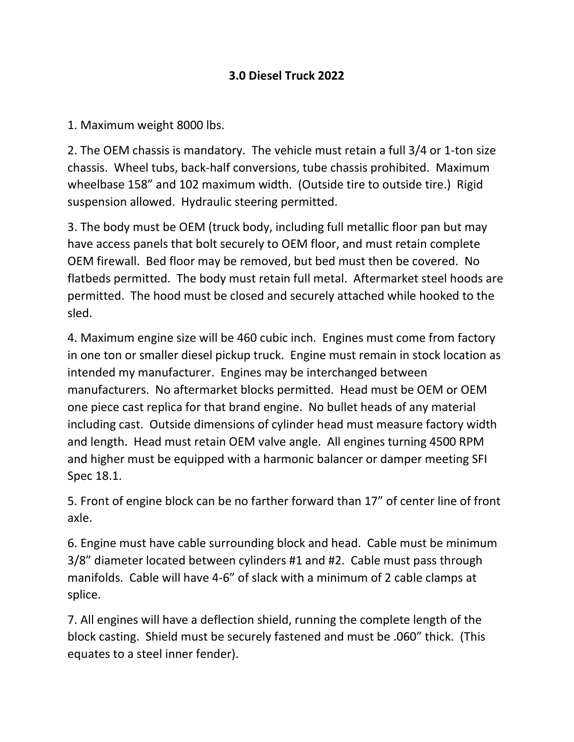## **3.0 Diesel Truck 2022**

1. Maximum weight 8000 lbs.

2. The OEM chassis is mandatory. The vehicle must retain a full 3/4 or 1-ton size chassis. Wheel tubs, back-half conversions, tube chassis prohibited. Maximum wheelbase 158" and 102 maximum width. (Outside tire to outside tire.) Rigid suspension allowed. Hydraulic steering permitted.

3. The body must be OEM (truck body, including full metallic floor pan but may have access panels that bolt securely to OEM floor, and must retain complete OEM firewall. Bed floor may be removed, but bed must then be covered. No flatbeds permitted. The body must retain full metal. Aftermarket steel hoods are permitted. The hood must be closed and securely attached while hooked to the sled.

4. Maximum engine size will be 460 cubic inch. Engines must come from factory in one ton or smaller diesel pickup truck. Engine must remain in stock location as intended my manufacturer. Engines may be interchanged between manufacturers. No aftermarket blocks permitted. Head must be OEM or OEM one piece cast replica for that brand engine. No bullet heads of any material including cast. Outside dimensions of cylinder head must measure factory width and length. Head must retain OEM valve angle. All engines turning 4500 RPM and higher must be equipped with a harmonic balancer or damper meeting SFI Spec 18.1.

5. Front of engine block can be no farther forward than 17" of center line of front axle.

6. Engine must have cable surrounding block and head. Cable must be minimum 3/8" diameter located between cylinders #1 and #2. Cable must pass through manifolds. Cable will have 4-6" of slack with a minimum of 2 cable clamps at splice.

7. All engines will have a deflection shield, running the complete length of the block casting. Shield must be securely fastened and must be .060" thick. (This equates to a steel inner fender).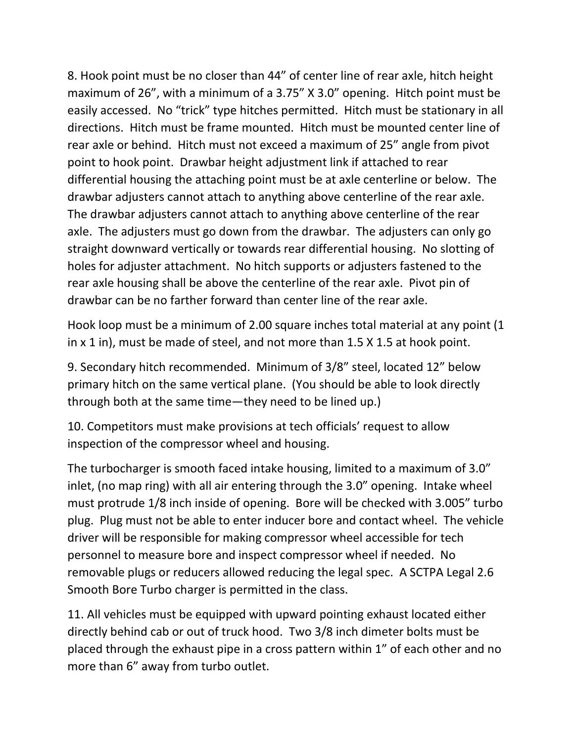8. Hook point must be no closer than 44" of center line of rear axle, hitch height maximum of 26", with a minimum of a 3.75" X 3.0" opening. Hitch point must be easily accessed. No "trick" type hitches permitted. Hitch must be stationary in all directions. Hitch must be frame mounted. Hitch must be mounted center line of rear axle or behind. Hitch must not exceed a maximum of 25" angle from pivot point to hook point. Drawbar height adjustment link if attached to rear differential housing the attaching point must be at axle centerline or below. The drawbar adjusters cannot attach to anything above centerline of the rear axle. The drawbar adjusters cannot attach to anything above centerline of the rear axle. The adjusters must go down from the drawbar. The adjusters can only go straight downward vertically or towards rear differential housing. No slotting of holes for adjuster attachment. No hitch supports or adjusters fastened to the rear axle housing shall be above the centerline of the rear axle. Pivot pin of drawbar can be no farther forward than center line of the rear axle.

Hook loop must be a minimum of 2.00 square inches total material at any point (1 in x 1 in), must be made of steel, and not more than 1.5 X 1.5 at hook point.

9. Secondary hitch recommended. Minimum of 3/8" steel, located 12" below primary hitch on the same vertical plane. (You should be able to look directly through both at the same time—they need to be lined up.)

10. Competitors must make provisions at tech officials' request to allow inspection of the compressor wheel and housing.

The turbocharger is smooth faced intake housing, limited to a maximum of 3.0" inlet, (no map ring) with all air entering through the 3.0" opening. Intake wheel must protrude 1/8 inch inside of opening. Bore will be checked with 3.005" turbo plug. Plug must not be able to enter inducer bore and contact wheel. The vehicle driver will be responsible for making compressor wheel accessible for tech personnel to measure bore and inspect compressor wheel if needed. No removable plugs or reducers allowed reducing the legal spec. A SCTPA Legal 2.6 Smooth Bore Turbo charger is permitted in the class.

11. All vehicles must be equipped with upward pointing exhaust located either directly behind cab or out of truck hood. Two 3/8 inch dimeter bolts must be placed through the exhaust pipe in a cross pattern within 1" of each other and no more than 6" away from turbo outlet.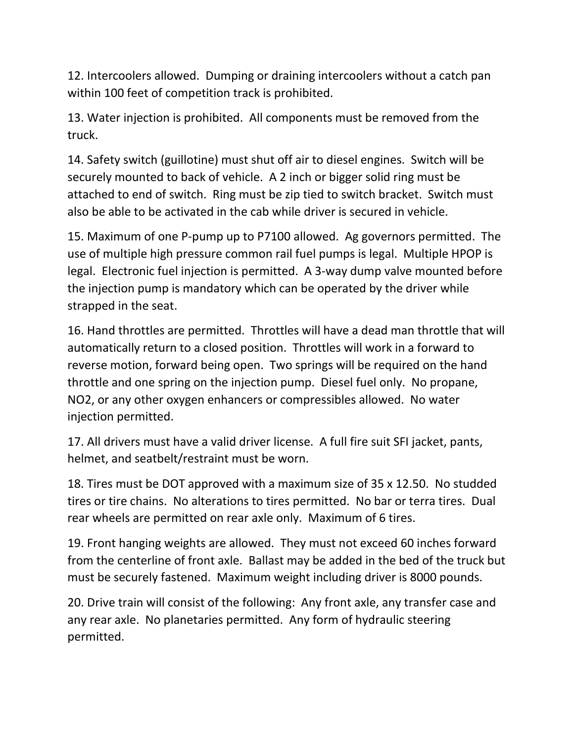12. Intercoolers allowed. Dumping or draining intercoolers without a catch pan within 100 feet of competition track is prohibited.

13. Water injection is prohibited. All components must be removed from the truck.

14. Safety switch (guillotine) must shut off air to diesel engines. Switch will be securely mounted to back of vehicle. A 2 inch or bigger solid ring must be attached to end of switch. Ring must be zip tied to switch bracket. Switch must also be able to be activated in the cab while driver is secured in vehicle.

15. Maximum of one P-pump up to P7100 allowed. Ag governors permitted. The use of multiple high pressure common rail fuel pumps is legal. Multiple HPOP is legal. Electronic fuel injection is permitted. A 3-way dump valve mounted before the injection pump is mandatory which can be operated by the driver while strapped in the seat.

16. Hand throttles are permitted. Throttles will have a dead man throttle that will automatically return to a closed position. Throttles will work in a forward to reverse motion, forward being open. Two springs will be required on the hand throttle and one spring on the injection pump. Diesel fuel only. No propane, NO2, or any other oxygen enhancers or compressibles allowed. No water injection permitted.

17. All drivers must have a valid driver license. A full fire suit SFI jacket, pants, helmet, and seatbelt/restraint must be worn.

18. Tires must be DOT approved with a maximum size of 35 x 12.50. No studded tires or tire chains. No alterations to tires permitted. No bar or terra tires. Dual rear wheels are permitted on rear axle only. Maximum of 6 tires.

19. Front hanging weights are allowed. They must not exceed 60 inches forward from the centerline of front axle. Ballast may be added in the bed of the truck but must be securely fastened. Maximum weight including driver is 8000 pounds.

20. Drive train will consist of the following: Any front axle, any transfer case and any rear axle. No planetaries permitted. Any form of hydraulic steering permitted.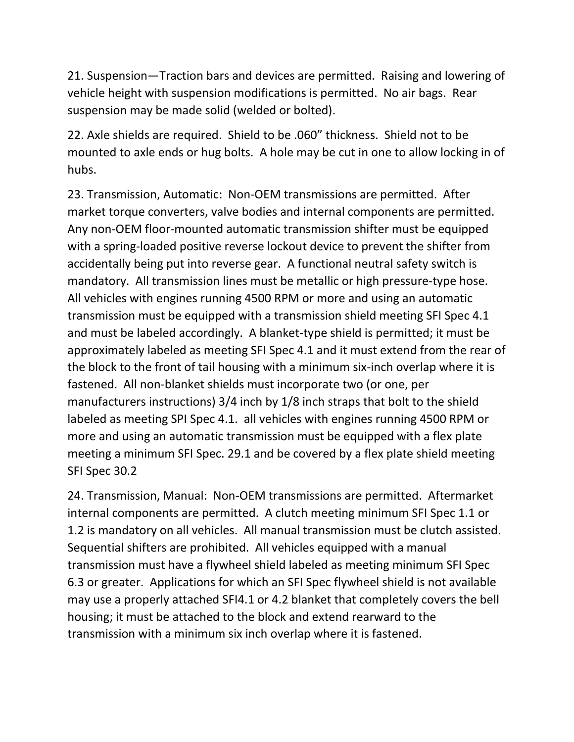21. Suspension—Traction bars and devices are permitted. Raising and lowering of vehicle height with suspension modifications is permitted. No air bags. Rear suspension may be made solid (welded or bolted).

22. Axle shields are required. Shield to be .060" thickness. Shield not to be mounted to axle ends or hug bolts. A hole may be cut in one to allow locking in of hubs.

23. Transmission, Automatic: Non-OEM transmissions are permitted. After market torque converters, valve bodies and internal components are permitted. Any non-OEM floor-mounted automatic transmission shifter must be equipped with a spring-loaded positive reverse lockout device to prevent the shifter from accidentally being put into reverse gear. A functional neutral safety switch is mandatory. All transmission lines must be metallic or high pressure-type hose. All vehicles with engines running 4500 RPM or more and using an automatic transmission must be equipped with a transmission shield meeting SFI Spec 4.1 and must be labeled accordingly. A blanket-type shield is permitted; it must be approximately labeled as meeting SFI Spec 4.1 and it must extend from the rear of the block to the front of tail housing with a minimum six-inch overlap where it is fastened. All non-blanket shields must incorporate two (or one, per manufacturers instructions) 3/4 inch by 1/8 inch straps that bolt to the shield labeled as meeting SPI Spec 4.1. all vehicles with engines running 4500 RPM or more and using an automatic transmission must be equipped with a flex plate meeting a minimum SFI Spec. 29.1 and be covered by a flex plate shield meeting SFI Spec 30.2

24. Transmission, Manual: Non-OEM transmissions are permitted. Aftermarket internal components are permitted. A clutch meeting minimum SFI Spec 1.1 or 1.2 is mandatory on all vehicles. All manual transmission must be clutch assisted. Sequential shifters are prohibited. All vehicles equipped with a manual transmission must have a flywheel shield labeled as meeting minimum SFI Spec 6.3 or greater. Applications for which an SFI Spec flywheel shield is not available may use a properly attached SFI4.1 or 4.2 blanket that completely covers the bell housing; it must be attached to the block and extend rearward to the transmission with a minimum six inch overlap where it is fastened.